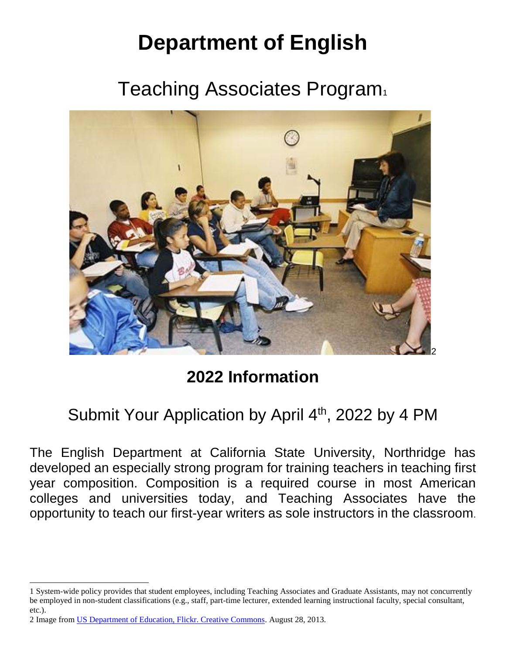# **Department of English**

Teaching Associates Program



## **2022 Information**

### Submit Your Application by April 4<sup>th</sup>, 2022 by 4 PM

The English Department at California State University, Northridge has developed an especially strong program for training teachers in teaching first year composition. Composition is a required course in most American colleges and universities today, and Teaching Associates have the opportunity to teach our first-year writers as sole instructors in the classroom.

 $\overline{a}$ 

<sup>1</sup> System-wide policy provides that student employees, including Teaching Associates and Graduate Assistants, may not concurrently be employed in non-student classifications (e.g., staff, part-time lecturer, extended learning instructional faculty, special consultant, etc.).

<sup>2</sup> Image from [US Department of Education, Flickr. Creative Commons.](about:blank) August 28, 2013.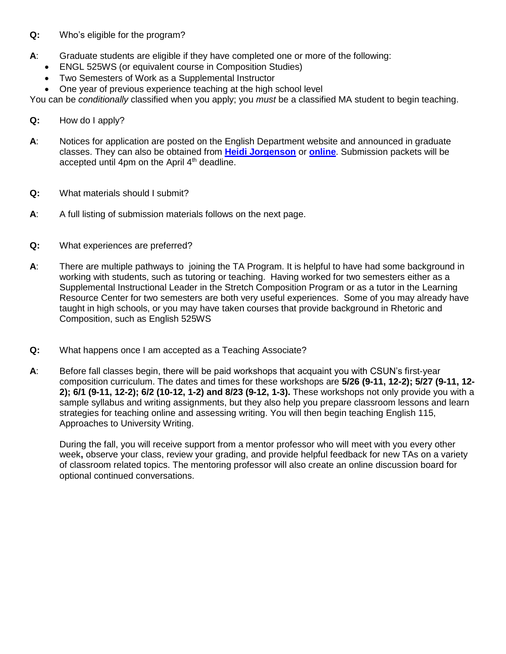#### **Q:** Who's eligible for the program?

- **A**: Graduate students are eligible if they have completed one or more of the following:
	- ENGL 525WS (or equivalent course in Composition Studies)
	- Two Semesters of Work as a Supplemental Instructor
	- One year of previous experience teaching at the high school level

You can be *conditionally* classified when you apply; you *must* be a classified MA student to begin teaching.

- **Q:** How do I apply?
- **A**: Notices for application are posted on the English Department website and announced in graduate classes. They can also be obtained from **[Heidi Jorgenson](about:blank)** or **[online](about:blank)**. Submission packets will be accepted until 4pm on the April  $4<sup>th</sup>$  deadline.
- **Q:** What materials should I submit?
- **A**: A full listing of submission materials follows on the next page.
- **Q:** What experiences are preferred?
- **A**: There are multiple pathways to joining the TA Program. It is helpful to have had some background in working with students, such as tutoring or teaching. Having worked for two semesters either as a Supplemental Instructional Leader in the Stretch Composition Program or as a tutor in the Learning Resource Center for two semesters are both very useful experiences. Some of you may already have taught in high schools, or you may have taken courses that provide background in Rhetoric and Composition, such as English 525WS
- **Q:** What happens once I am accepted as a Teaching Associate?
- **A**: Before fall classes begin, there will be paid workshops that acquaint you with CSUN's first-year composition curriculum. The dates and times for these workshops are **5/26 (9-11, 12-2); 5/27 (9-11, 12- 2); 6/1 (9-11, 12-2); 6/2 (10-12, 1-2) and 8/23 (9-12, 1-3).** These workshops not only provide you with a sample syllabus and writing assignments, but they also help you prepare classroom lessons and learn strategies for teaching online and assessing writing. You will then begin teaching English 115, Approaches to University Writing.

During the fall, you will receive support from a mentor professor who will meet with you every other week**,** observe your class, review your grading, and provide helpful feedback for new TAs on a variety of classroom related topics. The mentoring professor will also create an online discussion board for optional continued conversations.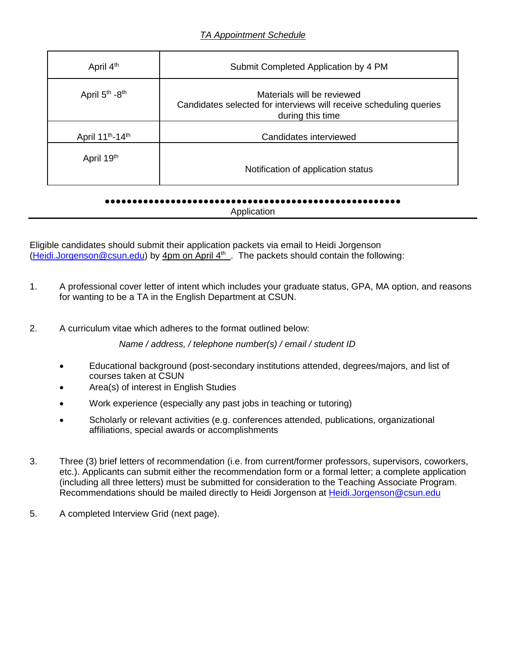| April 4 <sup>th</sup>                    | Submit Completed Application by 4 PM                                                                                 |  |  |  |  |
|------------------------------------------|----------------------------------------------------------------------------------------------------------------------|--|--|--|--|
| April 5 <sup>th</sup> -8 <sup>th</sup>   | Materials will be reviewed<br>Candidates selected for interviews will receive scheduling queries<br>during this time |  |  |  |  |
| April 11 <sup>th</sup> -14 <sup>th</sup> | Candidates interviewed                                                                                               |  |  |  |  |
| April 19th                               | Notification of application status                                                                                   |  |  |  |  |

#### ●●●●●●●●●●●●●●●●●●●●●●●●●●●●●●●●●●●●●●●●●●●●●●●●●●●●●● **Application**

Eligible candidates should submit their application packets via email to Heidi Jorgenson [\(Heidi.Jorgenson@csun.edu\)](about:blank) by 4pm on April 4<sup>th</sup>. The packets should contain the following:

- 1. A professional cover letter of intent which includes your graduate status, GPA, MA option, and reasons for wanting to be a TA in the English Department at CSUN.
- 2. A curriculum vitae which adheres to the format outlined below:

*Name / address, / telephone number(s) / email / student ID*

- Educational background (post-secondary institutions attended, degrees/majors, and list of courses taken at CSUN
- Area(s) of interest in English Studies
- Work experience (especially any past jobs in teaching or tutoring)
- Scholarly or relevant activities (e.g. conferences attended, publications, organizational affiliations, special awards or accomplishments
- 3. Three (3) brief letters of recommendation (i.e. from current/former professors, supervisors, coworkers, etc.). Applicants can submit either the recommendation form or a formal letter; a complete application (including all three letters) must be submitted for consideration to the Teaching Associate Program. Recommendations should be mailed directly to Heidi Jorgenson at [Heidi.Jorgenson@csun.edu](about:blank)
- 5. A completed Interview Grid (next page).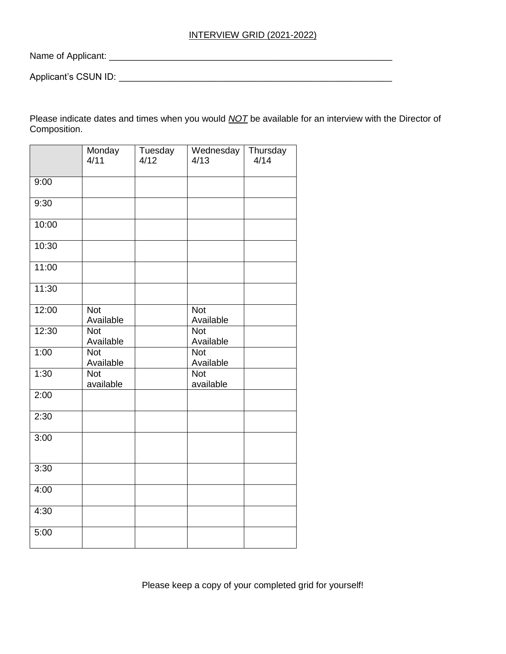#### INTERVIEW GRID (2021-2022)

Name of Applicant: \_\_\_\_\_\_\_\_\_\_\_\_\_\_\_\_\_\_\_\_\_\_\_\_\_\_\_\_\_\_\_\_\_\_\_\_\_\_\_\_\_\_\_\_\_\_\_\_\_\_\_\_\_\_\_\_

Applicant's CSUN ID: \_\_\_\_\_\_\_\_\_\_\_\_\_\_\_\_\_\_\_\_\_\_\_\_\_\_\_\_\_\_\_\_\_\_\_\_\_\_\_\_\_\_\_\_\_\_\_\_\_\_\_\_\_\_

Please indicate dates and times when you would *NOT* be available for an interview with the Director of Composition.

|       | Monday<br>4/11          | Tuesday<br>4/12 | Wednesday<br>4/13       | Thursday<br>4/14 |
|-------|-------------------------|-----------------|-------------------------|------------------|
| 9:00  |                         |                 |                         |                  |
| 9:30  |                         |                 |                         |                  |
| 10:00 |                         |                 |                         |                  |
| 10:30 |                         |                 |                         |                  |
| 11:00 |                         |                 |                         |                  |
| 11:30 |                         |                 |                         |                  |
| 12:00 | <b>Not</b><br>Available |                 | <b>Not</b><br>Available |                  |
| 12:30 | <b>Not</b><br>Available |                 | <b>Not</b><br>Available |                  |
| 1:00  | <b>Not</b><br>Available |                 | <b>Not</b><br>Available |                  |
| 1:30  | <b>Not</b><br>available |                 | <b>Not</b><br>available |                  |
| 2:00  |                         |                 |                         |                  |
| 2:30  |                         |                 |                         |                  |
| 3:00  |                         |                 |                         |                  |
| 3:30  |                         |                 |                         |                  |
| 4:00  |                         |                 |                         |                  |
| 4:30  |                         |                 |                         |                  |
| 5:00  |                         |                 |                         |                  |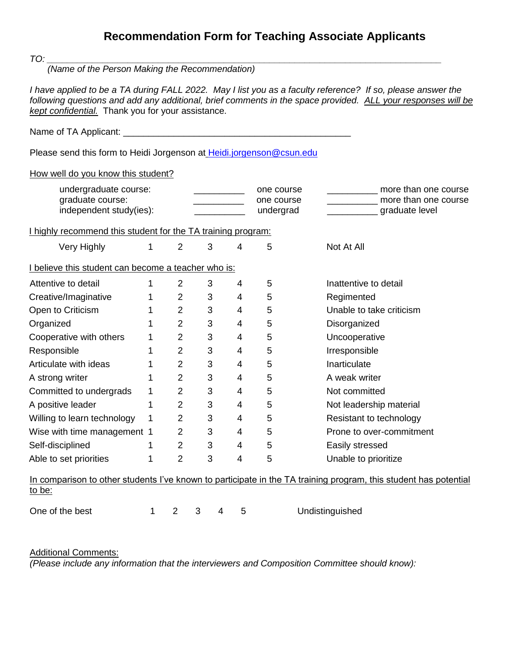### **Recommendation Form for Teaching Associate Applicants**

*TO: \_\_\_\_\_\_\_\_\_\_\_\_\_\_\_\_\_\_\_\_\_\_\_\_\_\_\_\_\_\_\_\_\_\_\_\_\_\_\_\_\_\_\_\_\_\_\_\_\_\_\_\_\_\_\_\_\_\_\_\_\_\_\_\_\_\_\_\_\_\_\_\_\_\_\_\_\_\_*

 *(Name of the Person Making the Recommendation)*

*I have applied to be a TA during FALL 2022. May I list you as a faculty reference? If so, please answer the following questions and add any additional, brief comments in the space provided. ALL your responses will be kept confidential.* Thank you for your assistance.

Name of TA Applicant: \_\_\_\_\_\_\_\_\_\_\_\_\_\_\_\_\_\_\_\_\_\_\_\_\_\_\_\_\_\_\_\_\_\_\_\_\_\_\_\_\_\_\_\_\_

Please send this form to Heidi Jorgenson at [Heidi.jorgenson@csun.edu](about:blank)

How well do you know this student?

| undergraduate course:<br>graduate course:<br>independent study(ies):                                                       |   |                |   |   |   | one course<br>one course<br>undergrad | more than one course<br>more than one course<br>graduate level |  |  |  |  |
|----------------------------------------------------------------------------------------------------------------------------|---|----------------|---|---|---|---------------------------------------|----------------------------------------------------------------|--|--|--|--|
| I highly recommend this student for the TA training program:                                                               |   |                |   |   |   |                                       |                                                                |  |  |  |  |
| Very Highly                                                                                                                | 1 | $\overline{2}$ | 3 |   | 4 | 5                                     | Not At All                                                     |  |  |  |  |
| I believe this student can become a teacher who is:                                                                        |   |                |   |   |   |                                       |                                                                |  |  |  |  |
| Attentive to detail                                                                                                        | 1 | $\overline{2}$ | 3 |   | 4 | 5                                     | Inattentive to detail                                          |  |  |  |  |
| Creative/Imaginative                                                                                                       | 1 | $\overline{2}$ | 3 |   | 4 | 5                                     | Regimented                                                     |  |  |  |  |
| Open to Criticism                                                                                                          | 1 | $\overline{2}$ | 3 |   | 4 | 5                                     | Unable to take criticism                                       |  |  |  |  |
| Organized                                                                                                                  | 1 | $\overline{2}$ | 3 |   | 4 | 5                                     | Disorganized                                                   |  |  |  |  |
| Cooperative with others                                                                                                    | 1 | $\overline{2}$ | 3 |   | 4 | 5                                     | Uncooperative                                                  |  |  |  |  |
| Responsible                                                                                                                | 1 | $\overline{2}$ | 3 |   | 4 | 5                                     | Irresponsible                                                  |  |  |  |  |
| Articulate with ideas                                                                                                      | 1 | $\overline{2}$ | 3 |   | 4 | 5                                     | Inarticulate                                                   |  |  |  |  |
| A strong writer                                                                                                            | 1 | $\overline{2}$ | 3 |   | 4 | 5                                     | A weak writer                                                  |  |  |  |  |
| Committed to undergrads                                                                                                    | 1 | $\overline{2}$ | 3 |   | 4 | 5                                     | Not committed                                                  |  |  |  |  |
| A positive leader                                                                                                          | 1 | $\overline{2}$ | 3 |   | 4 | 5                                     | Not leadership material                                        |  |  |  |  |
| Willing to learn technology                                                                                                | 1 | $\overline{2}$ | 3 |   | 4 | 5                                     | Resistant to technology                                        |  |  |  |  |
| Wise with time management 1                                                                                                |   | $\overline{2}$ | 3 |   | 4 | 5                                     | Prone to over-commitment                                       |  |  |  |  |
| Self-disciplined                                                                                                           | 1 | $\overline{2}$ | 3 |   | 4 | 5                                     | Easily stressed                                                |  |  |  |  |
| Able to set priorities                                                                                                     | 1 | 2              | 3 |   | 4 | 5                                     | Unable to prioritize                                           |  |  |  |  |
| In comparison to other students I've known to participate in the TA training program, this student has potential<br>to be: |   |                |   |   |   |                                       |                                                                |  |  |  |  |
| One of the best                                                                                                            | 1 | $\overline{2}$ | 3 | 4 | 5 |                                       | Undistinguished                                                |  |  |  |  |

Additional Comments:

*(Please include any information that the interviewers and Composition Committee should know):*